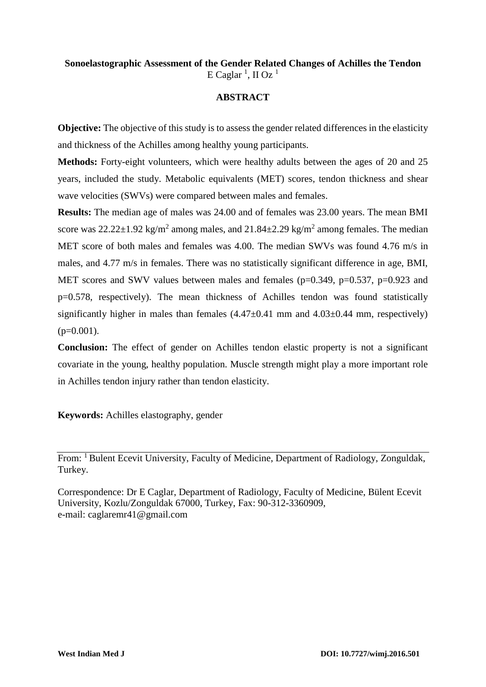# **Sonoelastographic Assessment of the Gender Related Changes of Achilles the Tendon** E Caglar<sup>1</sup>, II Oz<sup>1</sup>

### **ABSTRACT**

**Objective:** The objective of this study is to assess the gender related differences in the elasticity and thickness of the Achilles among healthy young participants.

**Methods:** Forty-eight volunteers, which were healthy adults between the ages of 20 and 25 years, included the study. Metabolic equivalents (MET) scores, tendon thickness and shear wave velocities (SWVs) were compared between males and females.

**Results:** The median age of males was 24.00 and of females was 23.00 years. The mean BMI score was  $22.22 \pm 1.92$  kg/m<sup>2</sup> among males, and  $21.84 \pm 2.29$  kg/m<sup>2</sup> among females. The median MET score of both males and females was 4.00. The median SWVs was found 4.76 m/s in males, and 4.77 m/s in females. There was no statistically significant difference in age, BMI, MET scores and SWV values between males and females (p=0.349, p=0.537, p=0.923 and p=0.578, respectively). The mean thickness of Achilles tendon was found statistically significantly higher in males than females  $(4.47\pm0.41 \text{ mm}$  and  $4.03\pm0.44 \text{ mm}$ , respectively)  $(p=0.001)$ .

**Conclusion:** The effect of gender on Achilles tendon elastic property is not a significant covariate in the young, healthy population. Muscle strength might play a more important role in Achilles tendon injury rather than tendon elasticity.

**Keywords:** Achilles elastography, gender

From: <sup>1</sup> Bulent Ecevit University, Faculty of Medicine, Department of Radiology, Zonguldak, Turkey.

Correspondence: Dr E Caglar, Department of Radiology, Faculty of Medicine, Bülent Ecevit University, Kozlu/Zonguldak 67000, Turkey, Fax: 90-312-3360909, e-mail: caglaremr41@gmail.com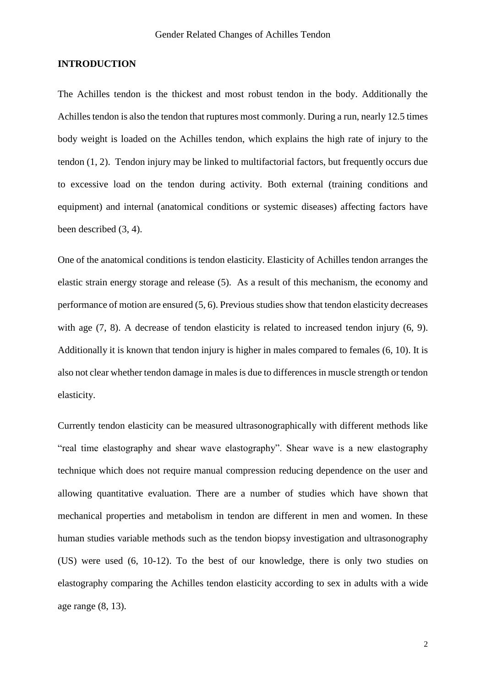### **INTRODUCTION**

The Achilles tendon is the thickest and most robust tendon in the body. Additionally the Achilles tendon is also the tendon that ruptures most commonly. During a run, nearly 12.5 times body weight is loaded on the Achilles tendon, which explains the high rate of injury to the tendon (1, 2). Tendon injury may be linked to multifactorial factors, but frequently occurs due to excessive load on the tendon during activity. Both external (training conditions and equipment) and internal (anatomical conditions or systemic diseases) affecting factors have been described (3, 4).

One of the anatomical conditions is tendon elasticity. Elasticity of Achilles tendon arranges the elastic strain energy storage and release (5). As a result of this mechanism, the economy and performance of motion are ensured (5, 6). Previous studies show that tendon elasticity decreases with age (7, 8). A decrease of tendon elasticity is related to increased tendon injury (6, 9). Additionally it is known that tendon injury is higher in males compared to females (6, 10). It is also not clear whether tendon damage in males is due to differences in muscle strength or tendon elasticity.

Currently tendon elasticity can be measured ultrasonographically with different methods like "real time elastography and shear wave elastography". Shear wave is a new elastography technique which does not require manual compression reducing dependence on the user and allowing quantitative evaluation. There are a number of studies which have shown that mechanical properties and metabolism in tendon are different in men and women. In these human studies variable methods such as the tendon biopsy investigation and ultrasonography (US) were used (6, 10-12). To the best of our knowledge, there is only two studies on elastography comparing the Achilles tendon elasticity according to sex in adults with a wide age range (8, 13).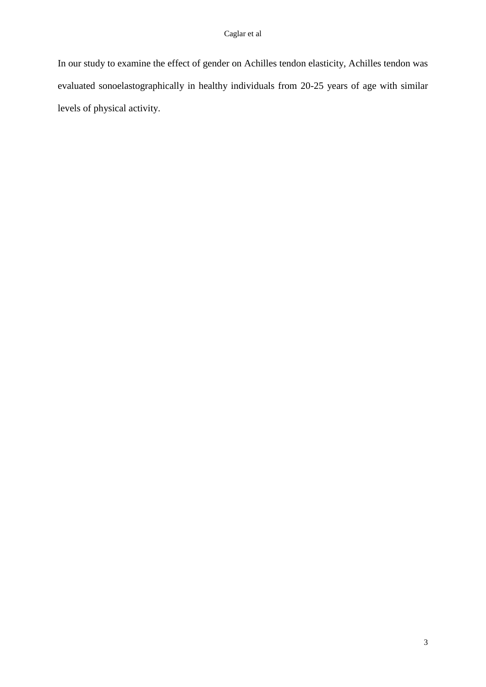In our study to examine the effect of gender on Achilles tendon elasticity, Achilles tendon was evaluated sonoelastographically in healthy individuals from 20-25 years of age with similar levels of physical activity.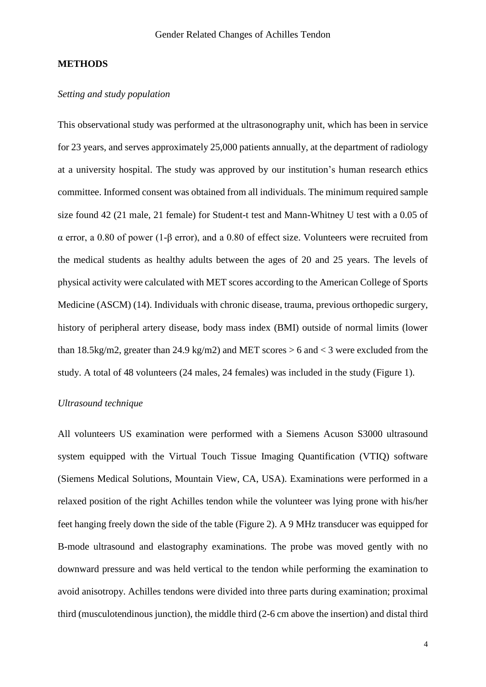### **METHODS**

### *Setting and study population*

This observational study was performed at the ultrasonography unit, which has been in service for 23 years, and serves approximately 25,000 patients annually, at the department of radiology at a university hospital. The study was approved by our institution's human research ethics committee. Informed consent was obtained from all individuals. The minimum required sample size found 42 (21 male, 21 female) for Student-t test and Mann-Whitney U test with a 0.05 of α error, a 0.80 of power (1-β error), and a 0.80 of effect size. Volunteers were recruited from the medical students as healthy adults between the ages of 20 and 25 years. The levels of physical activity were calculated with MET scores according to the American College of Sports Medicine (ASCM) (14). Individuals with chronic disease, trauma, previous orthopedic surgery, history of peripheral artery disease, body mass index (BMI) outside of normal limits (lower than 18.5kg/m2, greater than 24.9 kg/m2) and MET scores  $> 6$  and  $<$  3 were excluded from the study. A total of 48 volunteers (24 males, 24 females) was included in the study (Figure 1).

### *Ultrasound technique*

All volunteers US examination were performed with a Siemens Acuson S3000 ultrasound system equipped with the Virtual Touch Tissue Imaging Quantification (VTIQ) software (Siemens Medical Solutions, Mountain View, CA, USA). Examinations were performed in a relaxed position of the right Achilles tendon while the volunteer was lying prone with his/her feet hanging freely down the side of the table (Figure 2). A 9 MHz transducer was equipped for B-mode ultrasound and elastography examinations. The probe was moved gently with no downward pressure and was held vertical to the tendon while performing the examination to avoid anisotropy. Achilles tendons were divided into three parts during examination; proximal third (musculotendinous junction), the middle third (2-6 cm above the insertion) and distal third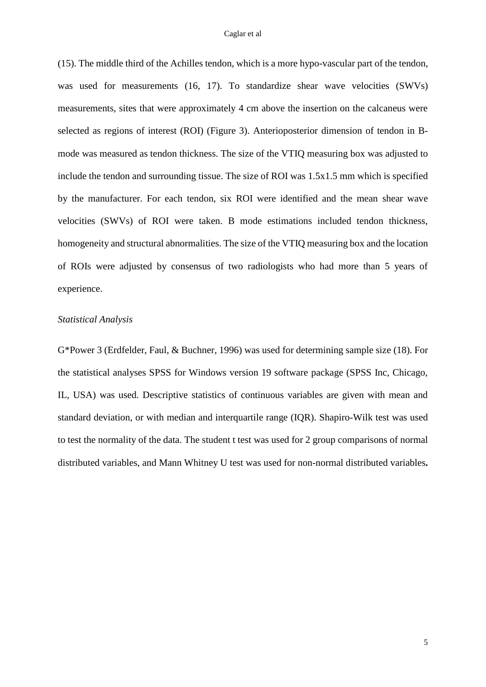#### Caglar et al

(15). The middle third of the Achilles tendon, which is a more hypo-vascular part of the tendon, was used for measurements (16, 17). To standardize shear wave velocities (SWVs) measurements, sites that were approximately 4 cm above the insertion on the calcaneus were selected as regions of interest (ROI) (Figure 3). Anterioposterior dimension of tendon in Bmode was measured as tendon thickness. The size of the VTIQ measuring box was adjusted to include the tendon and surrounding tissue. The size of ROI was 1.5x1.5 mm which is specified by the manufacturer. For each tendon, six ROI were identified and the mean shear wave velocities (SWVs) of ROI were taken. B mode estimations included tendon thickness, homogeneity and structural abnormalities. The size of the VTIQ measuring box and the location of ROIs were adjusted by consensus of two radiologists who had more than 5 years of experience.

#### *Statistical Analysis*

G\*Power 3 (Erdfelder, Faul, & Buchner, 1996) was used for determining sample size (18). For the statistical analyses SPSS for Windows version 19 software package (SPSS Inc, Chicago, IL, USA) was used. Descriptive statistics of continuous variables are given with mean and standard deviation, or with median and interquartile range (IQR). Shapiro-Wilk test was used to test the normality of the data. The student t test was used for 2 group comparisons of normal distributed variables, and Mann Whitney U test was used for non-normal distributed variables**.**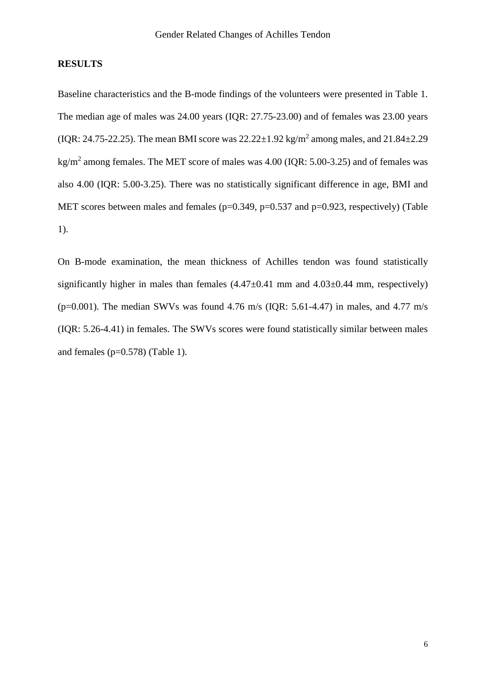### **RESULTS**

Baseline characteristics and the B-mode findings of the volunteers were presented in Table 1. The median age of males was 24.00 years (IQR: 27.75-23.00) and of females was 23.00 years (IQR: 24.75-22.25). The mean BMI score was  $22.22 \pm 1.92$  kg/m<sup>2</sup> among males, and  $21.84 \pm 2.29$ kg/m<sup>2</sup> among females. The MET score of males was  $4.00$  (IQR:  $5.00$ -3.25) and of females was also 4.00 (IQR: 5.00-3.25). There was no statistically significant difference in age, BMI and MET scores between males and females ( $p=0.349$ ,  $p=0.537$  and  $p=0.923$ , respectively) (Table 1).

On B-mode examination, the mean thickness of Achilles tendon was found statistically significantly higher in males than females  $(4.47\pm0.41 \text{ mm}$  and  $4.03\pm0.44 \text{ mm}$ , respectively) ( $p=0.001$ ). The median SWVs was found 4.76 m/s (IQR: 5.61-4.47) in males, and 4.77 m/s (IQR: 5.26-4.41) in females. The SWVs scores were found statistically similar between males and females  $(p=0.578)$  (Table 1).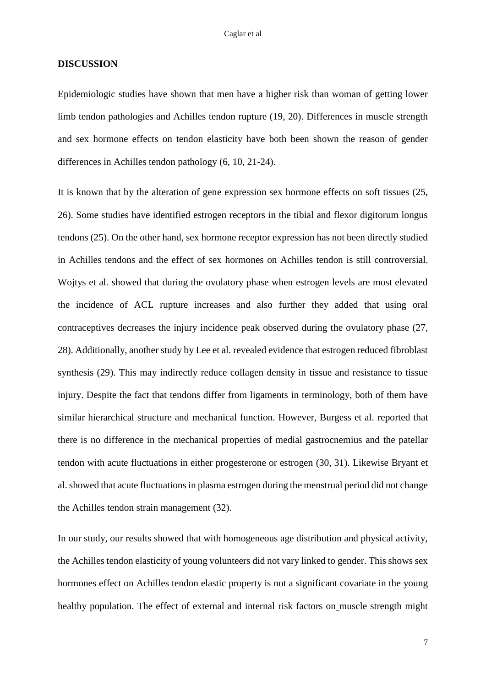#### **DISCUSSION**

Epidemiologic studies have shown that men have a higher risk than woman of getting lower limb tendon pathologies and Achilles tendon rupture (19, 20). Differences in muscle strength and sex hormone effects on tendon elasticity have both been shown the reason of gender differences in Achilles tendon pathology (6, 10, 21-24).

It is known that by the alteration of gene expression sex hormone effects on soft tissues (25, 26). Some studies have identified estrogen receptors in the tibial and flexor digitorum longus tendons (25). On the other hand, sex hormone receptor expression has not been directly studied in Achilles tendons and the effect of sex hormones on Achilles tendon is still controversial. Wojtys et al. showed that during the ovulatory phase when estrogen levels are most elevated the incidence of ACL rupture increases and also further they added that using oral contraceptives decreases the injury incidence peak observed during the ovulatory phase (27, 28). Additionally, another study by Lee et al. revealed evidence that estrogen reduced fibroblast synthesis (29). This may indirectly reduce collagen density in tissue and resistance to tissue injury. Despite the fact that tendons differ from ligaments in terminology, both of them have similar hierarchical structure and mechanical function. However, Burgess et al. reported that there is no difference in the mechanical properties of medial gastrocnemius and the patellar tendon with acute fluctuations in either progesterone or estrogen (30, 31). Likewise Bryant et al. showed that acute fluctuations in plasma estrogen during the menstrual period did not change the Achilles tendon strain management (32).

In our study, our results showed that with homogeneous age distribution and physical activity, the Achilles tendon elasticity of young volunteers did not vary linked to gender. This shows sex hormones effect on Achilles tendon elastic property is not a significant covariate in the young healthy population. The effect of external and internal risk factors on muscle strength might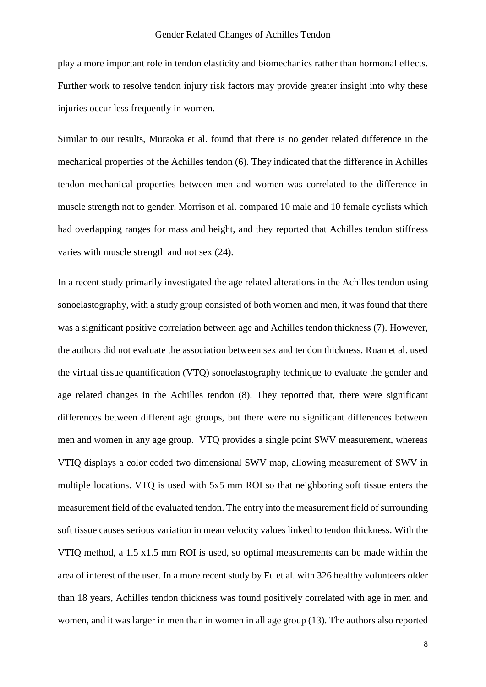play a more important role in tendon elasticity and biomechanics rather than hormonal effects. Further work to resolve tendon injury risk factors may provide greater insight into why these injuries occur less frequently in women.

Similar to our results, Muraoka et al. found that there is no gender related difference in the mechanical properties of the Achilles tendon (6). They indicated that the difference in Achilles tendon mechanical properties between men and women was correlated to the difference in muscle strength not to gender. Morrison et al. compared 10 male and 10 female cyclists which had overlapping ranges for mass and height, and they reported that Achilles tendon stiffness varies with muscle strength and not sex (24).

In a recent study primarily investigated the age related alterations in the Achilles tendon using sonoelastography, with a study group consisted of both women and men, it was found that there was a significant positive correlation between age and Achilles tendon thickness (7). However, the authors did not evaluate the association between sex and tendon thickness. Ruan et al. used the virtual tissue quantification (VTQ) sonoelastography technique to evaluate the gender and age related changes in the Achilles tendon (8). They reported that, there were significant differences between different age groups, but there were no significant differences between men and women in any age group. VTQ provides a single point SWV measurement, whereas VTIQ displays a color coded two dimensional SWV map, allowing measurement of SWV in multiple locations. VTQ is used with 5x5 mm ROI so that neighboring soft tissue enters the measurement field of the evaluated tendon. The entry into the measurement field of surrounding soft tissue causes serious variation in mean velocity values linked to tendon thickness. With the VTIQ method, a 1.5 x1.5 mm ROI is used, so optimal measurements can be made within the area of interest of the user. In a more recent study by Fu et al. with 326 healthy volunteers older than 18 years, Achilles tendon thickness was found positively correlated with age in men and women, and it was larger in men than in women in all age group (13). The authors also reported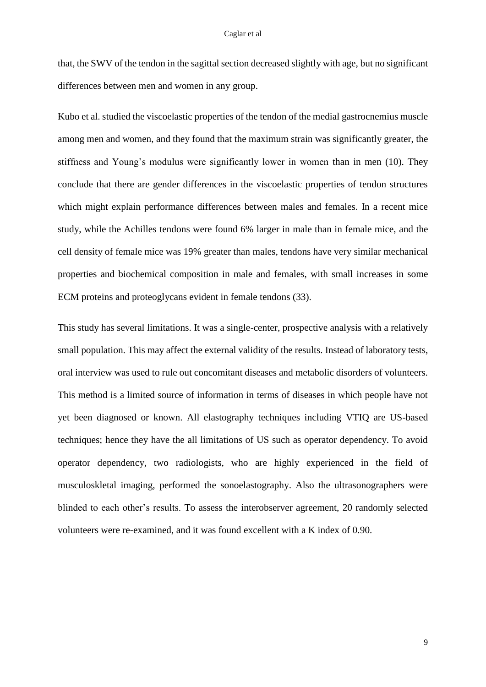that, the SWV of the tendon in the sagittal section decreased slightly with age, but no significant differences between men and women in any group.

Kubo et al. studied the viscoelastic properties of the tendon of the medial gastrocnemius muscle among men and women, and they found that the maximum strain was significantly greater, the stiffness and Young's modulus were significantly lower in women than in men (10). They conclude that there are gender differences in the viscoelastic properties of tendon structures which might explain performance differences between males and females. In a recent mice study, while the Achilles tendons were found 6% larger in male than in female mice, and the cell density of female mice was 19% greater than males, tendons have very similar mechanical properties and biochemical composition in male and females, with small increases in some ECM proteins and proteoglycans evident in female tendons (33).

This study has several limitations. It was a single-center, prospective analysis with a relatively small population. This may affect the external validity of the results. Instead of laboratory tests, oral interview was used to rule out concomitant diseases and metabolic disorders of volunteers. This method is a limited source of information in terms of diseases in which people have not yet been diagnosed or known. All elastography techniques including VTIQ are US-based techniques; hence they have the all limitations of US such as operator dependency. To avoid operator dependency, two radiologists, who are highly experienced in the field of musculoskletal imaging, performed the sonoelastography. Also the ultrasonographers were blinded to each other's results. To assess the interobserver agreement, 20 randomly selected volunteers were re-examined, and it was found excellent with a K index of 0.90.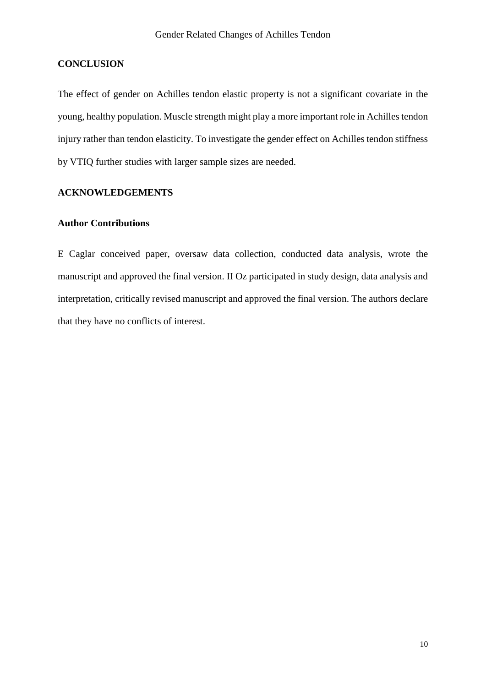### **CONCLUSION**

The effect of gender on Achilles tendon elastic property is not a significant covariate in the young, healthy population. Muscle strength might play a more important role in Achilles tendon injury rather than tendon elasticity. To investigate the gender effect on Achilles tendon stiffness by VTIQ further studies with larger sample sizes are needed.

# **ACKNOWLEDGEMENTS**

## **Author Contributions**

E Caglar conceived paper, oversaw data collection, conducted data analysis, wrote the manuscript and approved the final version. II Oz participated in study design, data analysis and interpretation, critically revised manuscript and approved the final version. The authors declare that they have no conflicts of interest.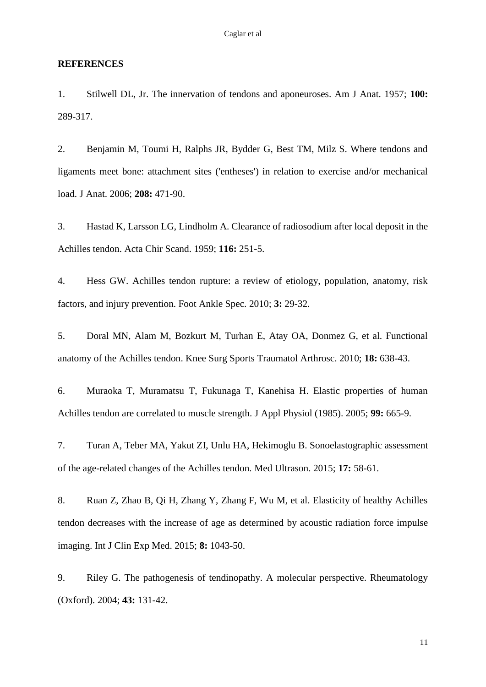#### **REFERENCES**

1. Stilwell DL, Jr. The innervation of tendons and aponeuroses. Am J Anat. 1957; **100:**  289-317.

2. Benjamin M, Toumi H, Ralphs JR, Bydder G, Best TM, Milz S. Where tendons and ligaments meet bone: attachment sites ('entheses') in relation to exercise and/or mechanical load. J Anat. 2006; **208:** 471-90.

3. Hastad K, Larsson LG, Lindholm A. Clearance of radiosodium after local deposit in the Achilles tendon. Acta Chir Scand. 1959; **116:** 251-5.

4. Hess GW. Achilles tendon rupture: a review of etiology, population, anatomy, risk factors, and injury prevention. Foot Ankle Spec. 2010; **3:** 29-32.

5. Doral MN, Alam M, Bozkurt M, Turhan E, Atay OA, Donmez G, et al. Functional anatomy of the Achilles tendon. Knee Surg Sports Traumatol Arthrosc. 2010; **18:** 638-43.

6. Muraoka T, Muramatsu T, Fukunaga T, Kanehisa H. Elastic properties of human Achilles tendon are correlated to muscle strength. J Appl Physiol (1985). 2005; **99:** 665-9.

7. Turan A, Teber MA, Yakut ZI, Unlu HA, Hekimoglu B. Sonoelastographic assessment of the age-related changes of the Achilles tendon. Med Ultrason. 2015; **17:** 58-61.

8. Ruan Z, Zhao B, Qi H, Zhang Y, Zhang F, Wu M, et al. Elasticity of healthy Achilles tendon decreases with the increase of age as determined by acoustic radiation force impulse imaging. Int J Clin Exp Med. 2015; **8:** 1043-50.

9. Riley G. The pathogenesis of tendinopathy. A molecular perspective. Rheumatology (Oxford). 2004; **43:** 131-42.

11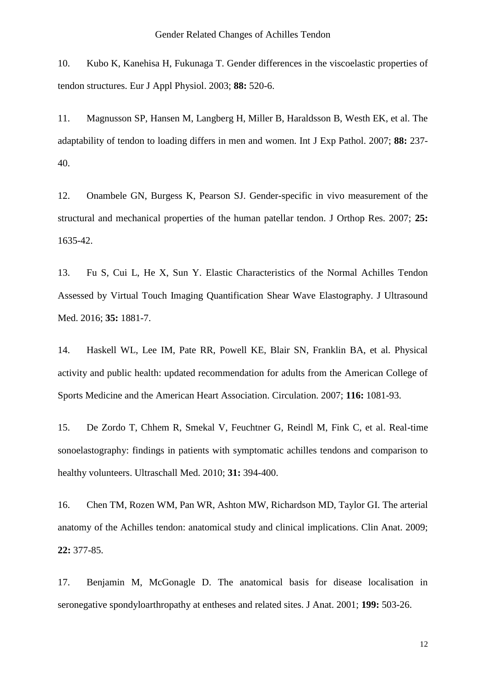10. Kubo K, Kanehisa H, Fukunaga T. Gender differences in the viscoelastic properties of tendon structures. Eur J Appl Physiol. 2003; **88:** 520-6.

11. Magnusson SP, Hansen M, Langberg H, Miller B, Haraldsson B, Westh EK, et al. The adaptability of tendon to loading differs in men and women. Int J Exp Pathol. 2007; **88:** 237- 40.

12. Onambele GN, Burgess K, Pearson SJ. Gender-specific in vivo measurement of the structural and mechanical properties of the human patellar tendon. J Orthop Res. 2007; **25:**  1635-42.

13. Fu S, Cui L, He X, Sun Y. Elastic Characteristics of the Normal Achilles Tendon Assessed by Virtual Touch Imaging Quantification Shear Wave Elastography. J Ultrasound Med. 2016; **35:** 1881-7.

14. Haskell WL, Lee IM, Pate RR, Powell KE, Blair SN, Franklin BA, et al. Physical activity and public health: updated recommendation for adults from the American College of Sports Medicine and the American Heart Association. Circulation. 2007; **116:** 1081-93.

15. De Zordo T, Chhem R, Smekal V, Feuchtner G, Reindl M, Fink C, et al. Real-time sonoelastography: findings in patients with symptomatic achilles tendons and comparison to healthy volunteers. Ultraschall Med. 2010; **31:** 394-400.

16. Chen TM, Rozen WM, Pan WR, Ashton MW, Richardson MD, Taylor GI. The arterial anatomy of the Achilles tendon: anatomical study and clinical implications. Clin Anat. 2009; **22:** 377-85.

17. Benjamin M, McGonagle D. The anatomical basis for disease localisation in seronegative spondyloarthropathy at entheses and related sites. J Anat. 2001; **199:** 503-26.

12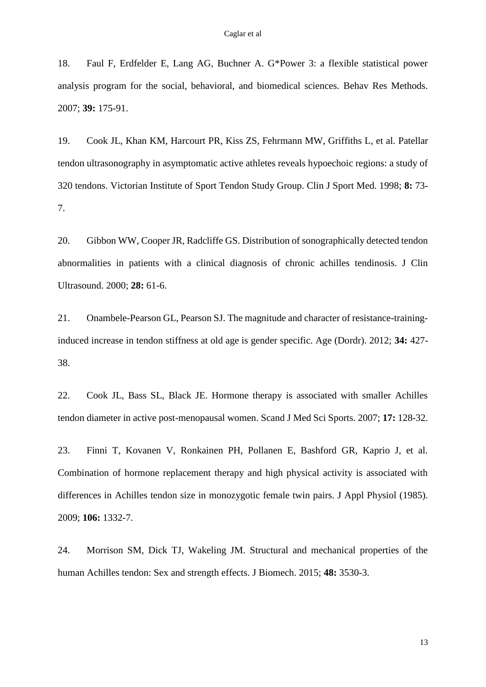18. Faul F, Erdfelder E, Lang AG, Buchner A. G\*Power 3: a flexible statistical power analysis program for the social, behavioral, and biomedical sciences. Behav Res Methods. 2007; **39:** 175-91.

19. Cook JL, Khan KM, Harcourt PR, Kiss ZS, Fehrmann MW, Griffiths L, et al. Patellar tendon ultrasonography in asymptomatic active athletes reveals hypoechoic regions: a study of 320 tendons. Victorian Institute of Sport Tendon Study Group. Clin J Sport Med. 1998; **8:** 73- 7.

20. Gibbon WW, Cooper JR, Radcliffe GS. Distribution of sonographically detected tendon abnormalities in patients with a clinical diagnosis of chronic achilles tendinosis. J Clin Ultrasound. 2000; **28:** 61-6.

21. Onambele-Pearson GL, Pearson SJ. The magnitude and character of resistance-traininginduced increase in tendon stiffness at old age is gender specific. Age (Dordr). 2012; **34:** 427- 38.

22. Cook JL, Bass SL, Black JE. Hormone therapy is associated with smaller Achilles tendon diameter in active post-menopausal women. Scand J Med Sci Sports. 2007; **17:** 128-32.

23. Finni T, Kovanen V, Ronkainen PH, Pollanen E, Bashford GR, Kaprio J, et al. Combination of hormone replacement therapy and high physical activity is associated with differences in Achilles tendon size in monozygotic female twin pairs. J Appl Physiol (1985). 2009; **106:** 1332-7.

24. Morrison SM, Dick TJ, Wakeling JM. Structural and mechanical properties of the human Achilles tendon: Sex and strength effects. J Biomech. 2015; **48:** 3530-3.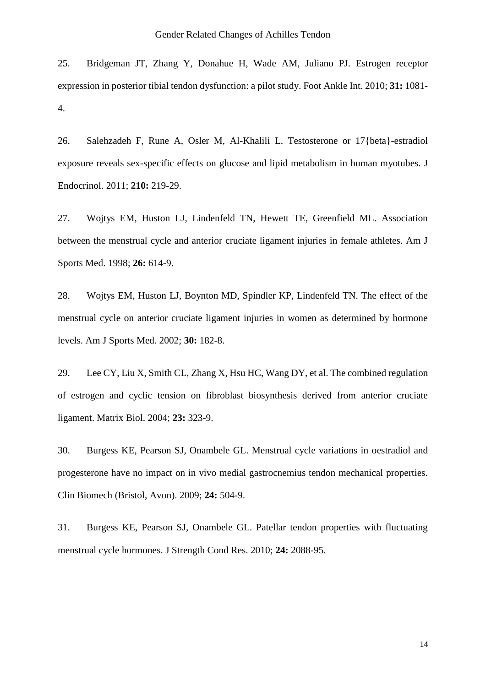25. Bridgeman JT, Zhang Y, Donahue H, Wade AM, Juliano PJ. Estrogen receptor expression in posterior tibial tendon dysfunction: a pilot study. Foot Ankle Int. 2010; **31:** 1081- 4.

26. Salehzadeh F, Rune A, Osler M, Al-Khalili L. Testosterone or 17{beta}-estradiol exposure reveals sex-specific effects on glucose and lipid metabolism in human myotubes. J Endocrinol. 2011; **210:** 219-29.

27. Wojtys EM, Huston LJ, Lindenfeld TN, Hewett TE, Greenfield ML. Association between the menstrual cycle and anterior cruciate ligament injuries in female athletes. Am J Sports Med. 1998; **26:** 614-9.

28. Wojtys EM, Huston LJ, Boynton MD, Spindler KP, Lindenfeld TN. The effect of the menstrual cycle on anterior cruciate ligament injuries in women as determined by hormone levels. Am J Sports Med. 2002; **30:** 182-8.

29. Lee CY, Liu X, Smith CL, Zhang X, Hsu HC, Wang DY, et al. The combined regulation of estrogen and cyclic tension on fibroblast biosynthesis derived from anterior cruciate ligament. Matrix Biol. 2004; **23:** 323-9.

30. Burgess KE, Pearson SJ, Onambele GL. Menstrual cycle variations in oestradiol and progesterone have no impact on in vivo medial gastrocnemius tendon mechanical properties. Clin Biomech (Bristol, Avon). 2009; **24:** 504-9.

31. Burgess KE, Pearson SJ, Onambele GL. Patellar tendon properties with fluctuating menstrual cycle hormones. J Strength Cond Res. 2010; **24:** 2088-95.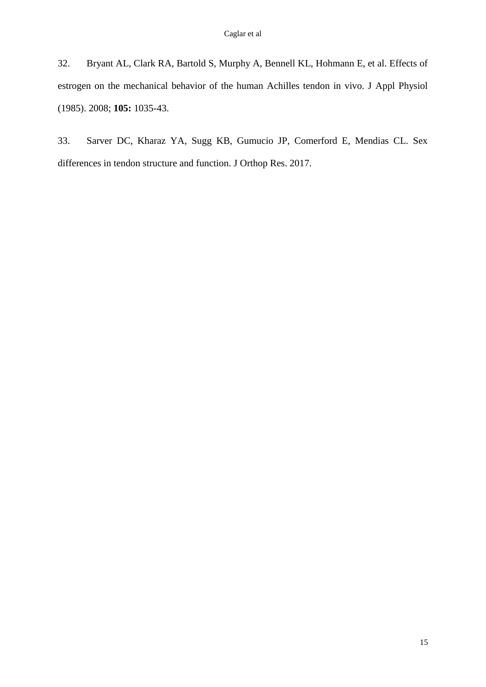32. Bryant AL, Clark RA, Bartold S, Murphy A, Bennell KL, Hohmann E, et al. Effects of estrogen on the mechanical behavior of the human Achilles tendon in vivo. J Appl Physiol (1985). 2008; **105:** 1035-43.

33. Sarver DC, Kharaz YA, Sugg KB, Gumucio JP, Comerford E, Mendias CL. Sex differences in tendon structure and function. J Orthop Res. 2017.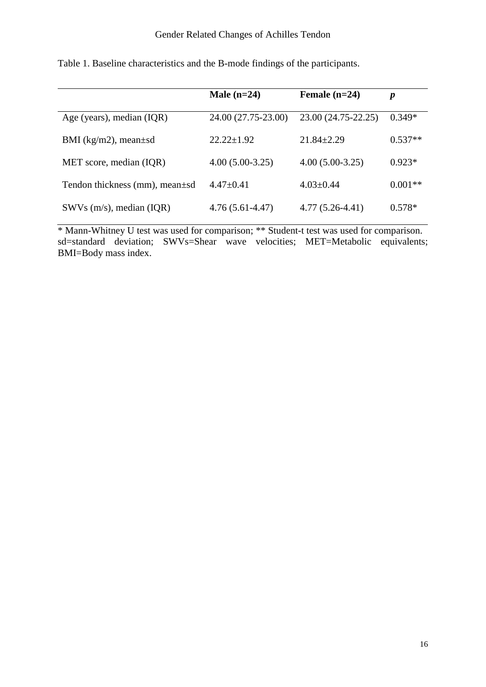|                                       | Male $(n=24)$       | Female $(n=24)$     | $\boldsymbol{p}$ |
|---------------------------------------|---------------------|---------------------|------------------|
| Age (years), median $(IQR)$           | 24.00 (27.75-23.00) | 23.00 (24.75-22.25) | $0.349*$         |
| BMI ( $\text{kg/m2}$ ), mean $\pm$ sd | $22.22+1.92$        | $21.84 + 2.29$      | $0.537**$        |
| MET score, median (IQR)               | $4.00(5.00-3.25)$   | $4.00(5.00-3.25)$   | $0.923*$         |
| Tendon thickness (mm), mean±sd        | $4.47+0.41$         | $4.03 \pm 0.44$     | $0.001**$        |
| $SWVs$ (m/s), median (IQR)            | $4.76(5.61-4.47)$   | $4.77(5.26-4.41)$   | $0.578*$         |

Table 1. Baseline characteristics and the B-mode findings of the participants.

\* Mann-Whitney U test was used for comparison; \*\* Student-t test was used for comparison. sd=standard deviation; SWVs=Shear wave velocities; MET=Metabolic equivalents; BMI=Body mass index.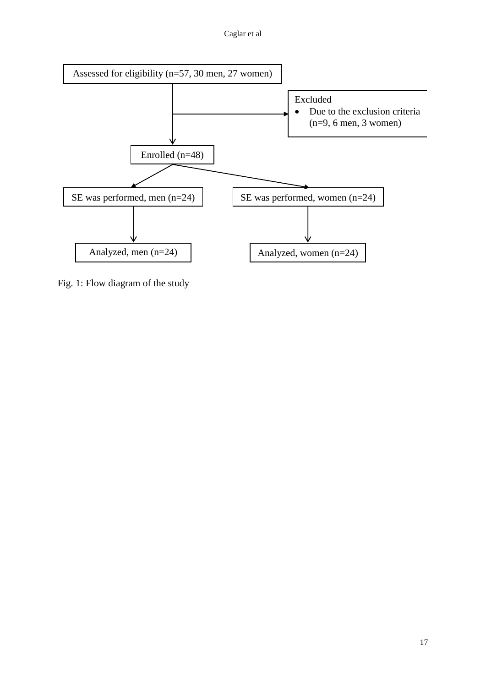Caglar et al



Fig. 1: Flow diagram of the study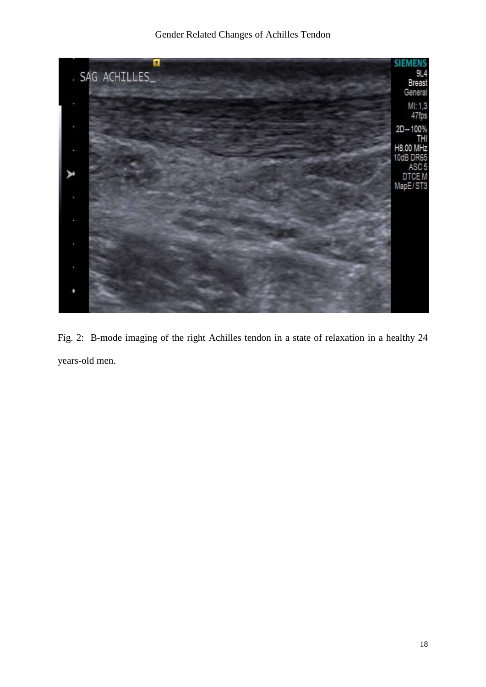

Fig. 2: B-mode imaging of the right Achilles tendon in a state of relaxation in a healthy 24 years-old men.